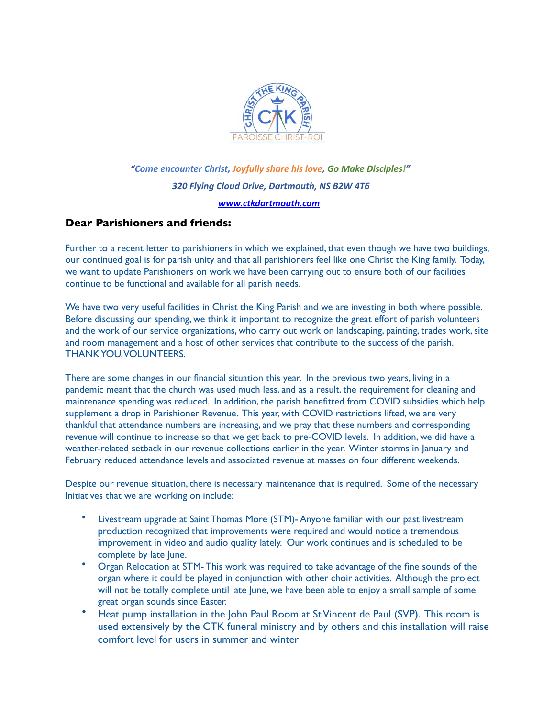

## *"Come encounter Christ, Joyfully share his love, Go Make Disciples!" 320 Flying Cloud Drive, Dartmouth, NS B2W 4T6 [www.ctkdartmouth.com](http://www.ctkdartmouth.com)*

## **Dear Parishioners and friends:**

Further to a recent letter to parishioners in which we explained, that even though we have two buildings, our continued goal is for parish unity and that all parishioners feel like one Christ the King family. Today, we want to update Parishioners on work we have been carrying out to ensure both of our facilities continue to be functional and available for all parish needs.

We have two very useful facilities in Christ the King Parish and we are investing in both where possible. Before discussing our spending, we think it important to recognize the great effort of parish volunteers and the work of our service organizations, who carry out work on landscaping, painting, trades work, site and room management and a host of other services that contribute to the success of the parish. THANK YOU, VOLUNTEERS.

There are some changes in our financial situation this year. In the previous two years, living in a pandemic meant that the church was used much less, and as a result, the requirement for cleaning and maintenance spending was reduced. In addition, the parish benefitted from COVID subsidies which help supplement a drop in Parishioner Revenue. This year, with COVID restrictions lifted, we are very thankful that attendance numbers are increasing, and we pray that these numbers and corresponding revenue will continue to increase so that we get back to pre-COVID levels. In addition, we did have a weather-related setback in our revenue collections earlier in the year. Winter storms in January and February reduced attendance levels and associated revenue at masses on four different weekends.

Despite our revenue situation, there is necessary maintenance that is required. Some of the necessary Initiatives that we are working on include:

- Livestream upgrade at Saint Thomas More (STM)- Anyone familiar with our past livestream production recognized that improvements were required and would notice a tremendous improvement in video and audio quality lately. Our work continues and is scheduled to be complete by late lune.
- Organ Relocation at STM- This work was required to take advantage of the fine sounds of the organ where it could be played in conjunction with other choir activities. Although the project will not be totally complete until late June, we have been able to enjoy a small sample of some great organ sounds since Easter.
- Heat pump installation in the John Paul Room at St Vincent de Paul (SVP). This room is used extensively by the CTK funeral ministry and by others and this installation will raise comfort level for users in summer and winter